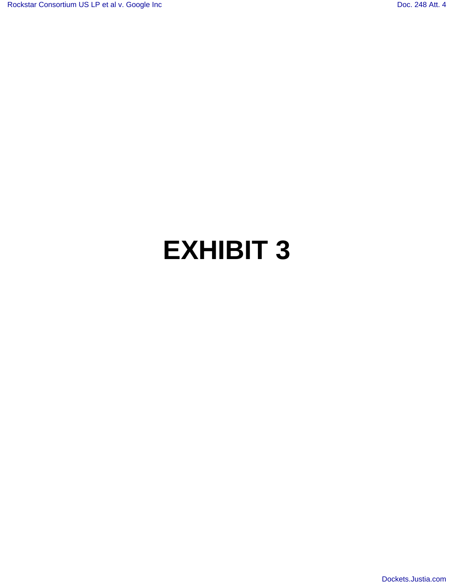## **EXHIBIT 3**

[Dockets.Justia.com](http://dockets.justia.com/)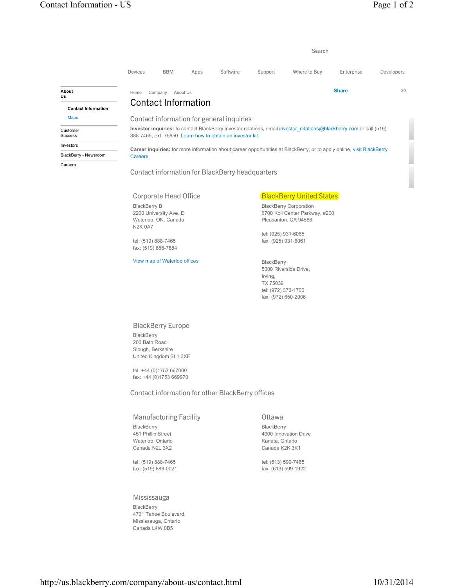|                                                                  |                     |                                                                                                                                                                                  |          |                                                 |                                                            | Search                                                                                                                |              |            |  |  |  |  |
|------------------------------------------------------------------|---------------------|----------------------------------------------------------------------------------------------------------------------------------------------------------------------------------|----------|-------------------------------------------------|------------------------------------------------------------|-----------------------------------------------------------------------------------------------------------------------|--------------|------------|--|--|--|--|
|                                                                  | Devices             | <b>BBM</b>                                                                                                                                                                       | Apps     | Software                                        | Support                                                    | Where to Buy                                                                                                          | Enterprise   | Developers |  |  |  |  |
| About<br>Us                                                      | Home                | Company                                                                                                                                                                          | About Us |                                                 |                                                            |                                                                                                                       | <b>Share</b> | 20         |  |  |  |  |
| <b>Contact Information</b>                                       |                     | <b>Contact Information</b>                                                                                                                                                       |          |                                                 |                                                            |                                                                                                                       |              |            |  |  |  |  |
| <b>Maps</b>                                                      |                     |                                                                                                                                                                                  |          | Contact information for general inquiries       |                                                            |                                                                                                                       |              |            |  |  |  |  |
| Customer<br><b>Success</b>                                       |                     | Investor inquiries: to contact BlackBerry investor relations, email investor relations@blackberry.com or call (519)<br>888-7465, ext. 75950. Learn how to obtain an investor kit |          |                                                 |                                                            |                                                                                                                       |              |            |  |  |  |  |
| Investors                                                        |                     |                                                                                                                                                                                  |          |                                                 |                                                            | Career inquiries: for more information about career opportunities at BlackBerry, or to apply online, visit BlackBerry |              |            |  |  |  |  |
| BlackBerry - Newsroom                                            | Careers.            |                                                                                                                                                                                  |          |                                                 |                                                            |                                                                                                                       |              |            |  |  |  |  |
|                                                                  |                     | <b>Corporate Head Office</b>                                                                                                                                                     |          | Contact information for BlackBerry headquarters |                                                            | <b>BlackBerry United States</b>                                                                                       |              |            |  |  |  |  |
|                                                                  | <b>BlackBerry B</b> |                                                                                                                                                                                  |          |                                                 |                                                            | <b>BlackBerry Corporation</b>                                                                                         |              |            |  |  |  |  |
| 2200 University Ave. E<br>Waterloo, ON, Canada<br><b>N2K 0A7</b> |                     |                                                                                                                                                                                  |          |                                                 |                                                            | 6700 Koll Center Parkway, #200<br>Pleasanton, CA 94566                                                                |              |            |  |  |  |  |
|                                                                  |                     | tel: (519) 888-7465                                                                                                                                                              |          |                                                 | tel: (925) 931-6065<br>fax: (925) 931-6061                 |                                                                                                                       |              |            |  |  |  |  |
|                                                                  |                     | fax: (519) 888-7884                                                                                                                                                              |          |                                                 |                                                            |                                                                                                                       |              |            |  |  |  |  |
|                                                                  |                     | View map of Waterloo offices                                                                                                                                                     |          |                                                 | BlackBerry<br>5000 Riverside Drive,<br>Irving,<br>TX 75039 |                                                                                                                       |              |            |  |  |  |  |

BlackBerry Europe

BlackBerry 200 Bath Road Slough, Berkshire United Kingdom SL1 3XE

tel: +44 (0)1753 667000 fax: +44 (0)1753 669970

Contact information for other BlackBerry offices

Manufacturing Facility **BlackBerry** 451 Phillip Street Waterloo, Ontario Canada N2L 3X2

tel: (519) 888-7465 fax: (519) 888-0021

## Mississauga

BlackBerry 4701 Tahoe Boulevard Mississauga, Ontario Canada L4W 0B5

Ottawa **BlackBerry** 4000 Innovation Drive Kanata, Ontario Canada K2K 3K1

tel: (972) 373-1700 fax: (972) 650-2006

tel: (613) 599-7465 fax: (613) 599-1922